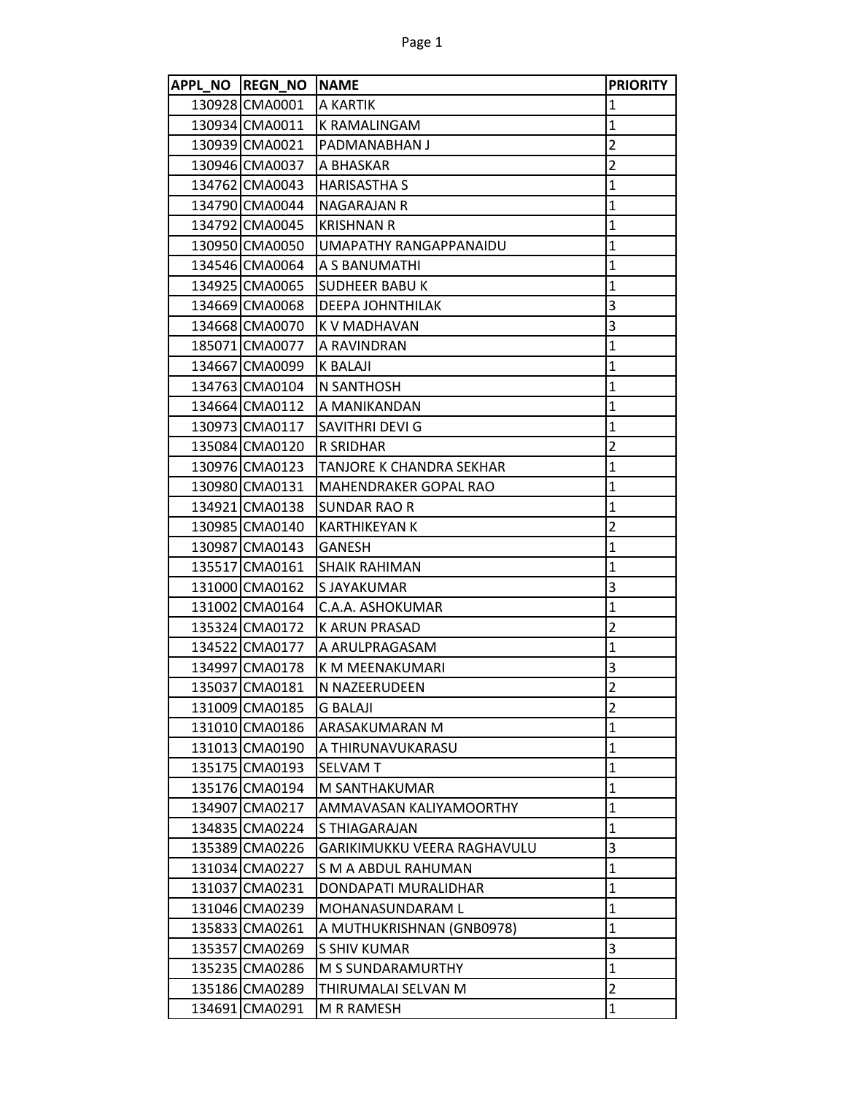| APPL NO REGN NO NAME |                              | <b>PRIORITY</b> |
|----------------------|------------------------------|-----------------|
| 130928 CMA0001       | A KARTIK                     | 1               |
| 130934 CMA0011       | K RAMALINGAM                 | 1               |
| 130939 CMA0021       | PADMANABHAN J                | 2               |
| 130946 CMA0037       | A BHASKAR                    | $\overline{2}$  |
| 134762 CMA0043       | <b>HARISASTHA S</b>          | $\mathbf{1}$    |
| 134790 CMA0044       | NAGARAJAN R                  | $\mathbf{1}$    |
| 134792 CMA0045       | <b>KRISHNAN R</b>            | $\mathbf{1}$    |
| 130950 CMA0050       | UMAPATHY RANGAPPANAIDU       | 1               |
| 134546 CMA0064       | A S BANUMATHI                | $\mathbf{1}$    |
| 134925 CMA0065       | <b>SUDHEER BABU K</b>        | $\mathbf{1}$    |
| 134669 CMA0068       | <b>DEEPA JOHNTHILAK</b>      | 3               |
| 134668 CMA0070       | K V MADHAVAN                 | 3               |
| 185071 CMA0077       | A RAVINDRAN                  | $\mathbf{1}$    |
| 134667 CMA0099       | K BALAJI                     | $\mathbf{1}$    |
| 134763 CMA0104       | N SANTHOSH                   | $\mathbf{1}$    |
| 134664 CMA0112       | A MANIKANDAN                 | $\mathbf 1$     |
| 130973 CMA0117       | SAVITHRI DEVI G              | $\mathbf 1$     |
| 135084 CMA0120       | <b>R SRIDHAR</b>             | 2               |
| 130976 CMA0123       | TANJORE K CHANDRA SEKHAR     | $\mathbf 1$     |
| 130980 CMA0131       | <b>MAHENDRAKER GOPAL RAO</b> | $\mathbf{1}$    |
| 134921 CMA0138       | SUNDAR RAO R                 | 1               |
| 130985 CMA0140       | <b>KARTHIKEYAN K</b>         | 2               |
| 130987 CMA0143       | <b>GANESH</b>                | $\mathbf{1}$    |
| 135517 CMA0161       | SHAIK RAHIMAN                | $\mathbf 1$     |
| 131000 CMA0162       | S JAYAKUMAR                  | 3               |
| 131002 CMA0164       | C.A.A. ASHOKUMAR             | $\mathbf 1$     |
| 135324 CMA0172       | K ARUN PRASAD                | 2               |
| 134522 CMA0177       | A ARULPRAGASAM               | $\mathbf{1}$    |
| 134997 CMA0178       | K M MEENAKUMARI              | 3               |
| 135037 CMA0181       | N NAZEERUDEEN                | $\overline{2}$  |
| 131009 CMA0185       | <b>G BALAJI</b>              | 2               |
| 131010 CMA0186       | ARASAKUMARAN M               | $\mathbf{1}$    |
| 131013 CMA0190       | A THIRUNAVUKARASU            | $\mathbf{1}$    |
| 135175 CMA0193       | <b>SELVAM T</b>              | $\mathbf{1}$    |
| 135176 CMA0194       | M SANTHAKUMAR                | 1               |
| 134907 CMA0217       | AMMAVASAN KALIYAMOORTHY      | 1               |
| 134835 CMA0224       | S THIAGARAJAN                | $\mathbf{1}$    |
| 135389 CMA0226       | GARIKIMUKKU VEERA RAGHAVULU  | 3               |
| 131034 CMA0227       | <b>S M A ABDUL RAHUMAN</b>   | $\mathbf{1}$    |
| 131037 CMA0231       | DONDAPATI MURALIDHAR         | 1               |
| 131046 CMA0239       | MOHANASUNDARAM L             | 1               |
| 135833 CMA0261       | A MUTHUKRISHNAN (GNB0978)    | $\mathbf{1}$    |
| 135357 CMA0269       | S SHIV KUMAR                 | 3               |
| 135235 CMA0286       | M S SUNDARAMURTHY            | $\mathbf 1$     |
| 135186 CMA0289       | THIRUMALAI SELVAN M          | $\overline{2}$  |
| 134691 CMA0291       | M R RAMESH                   | $\mathbf{1}$    |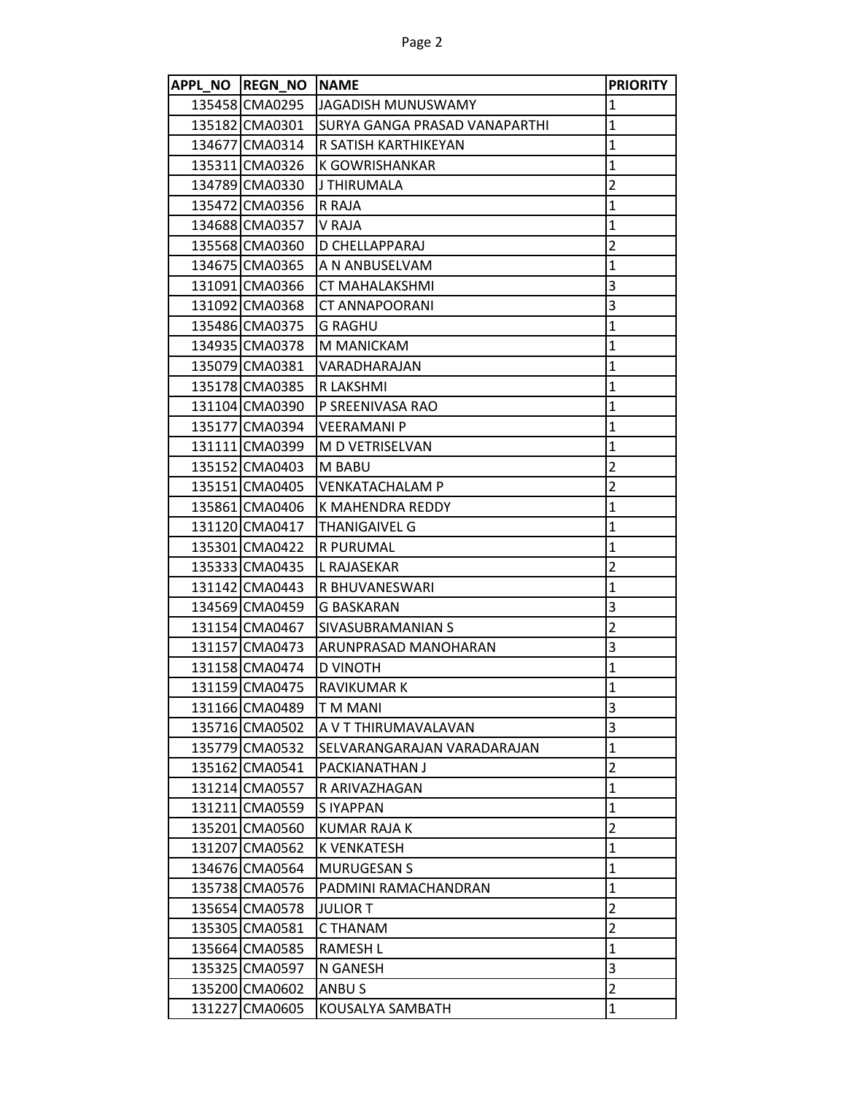| APPL NO REGN NO NAME |                                | <b>PRIORITY</b>         |
|----------------------|--------------------------------|-------------------------|
| 135458 CMA0295       | <b>JAGADISH MUNUSWAMY</b>      | $\mathbf{1}$            |
| 135182 CMA0301       | ISURYA GANGA PRASAD VANAPARTHI | $\mathbf{1}$            |
| 134677 CMA0314       | R SATISH KARTHIKEYAN           | $\mathbf 1$             |
| 135311 CMA0326       | K GOWRISHANKAR                 | $\mathbf 1$             |
| 134789 CMA0330       | J THIRUMALA                    | $\overline{2}$          |
| 135472 CMA0356       | R RAJA                         | $\mathbf{1}$            |
| 134688 CMA0357       | V RAJA                         | $\mathbf{1}$            |
| 135568 CMA0360       | D CHELLAPPARAJ                 | $\overline{c}$          |
| 134675 CMA0365       | A N ANBUSELVAM                 | $\mathbf 1$             |
| 131091 CMA0366       | <b>CT MAHALAKSHMI</b>          | 3                       |
| 131092 CMA0368       | <b>CT ANNAPOORANI</b>          | 3                       |
| 135486 CMA0375       | <b>G RAGHU</b>                 | $\mathbf{1}$            |
| 134935 CMA0378       | M MANICKAM                     | $\mathbf{1}$            |
| 135079 CMA0381       | VARADHARAJAN                   | $\overline{1}$          |
| 135178 CMA0385       | R LAKSHMI                      | $\mathbf 1$             |
| 131104 CMA0390       | P SREENIVASA RAO               | $\mathbf{1}$            |
| 135177 CMA0394       | <b>VEERAMANI P</b>             | $\mathbf{1}$            |
| 131111 CMA0399       | M D VETRISELVAN                | $\mathbf{1}$            |
| 135152 CMA0403       | M BABU                         | $\overline{c}$          |
| 135151 CMA0405       | <b>VENKATACHALAM P</b>         | $\overline{2}$          |
| 135861 CMA0406       | K MAHENDRA REDDY               | $\mathbf{1}$            |
| 131120 CMA0417       | <b>THANIGAIVEL G</b>           | $\mathbf 1$             |
| 135301 CMA0422       | <b>R PURUMAL</b>               | $\mathbf{1}$            |
| 135333 CMA0435       | L RAJASEKAR                    | $\overline{2}$          |
| 131142 CMA0443       | R BHUVANESWARI                 | $\mathbf{1}$            |
| 134569 CMA0459       | <b>G BASKARAN</b>              | 3                       |
| 131154 CMA0467       | SIVASUBRAMANIAN S              | $\overline{2}$          |
| 131157 CMA0473       | ARUNPRASAD MANOHARAN           | 3                       |
| 131158 CMA0474       | D VINOTH                       | $\mathbf{1}$            |
| 131159 CMA0475       | RAVIKUMAR K                    | $\mathbf{1}$            |
| 131166 CMA0489       | <b>TMMANI</b>                  | 3                       |
| 135716 CMA0502       | A V T THIRUMAVALAVAN           | 3                       |
| 135779 CMA0532       | SELVARANGARAJAN VARADARAJAN    | $\mathbf 1$             |
| 135162 CMA0541       | PACKIANATHAN J                 | $\overline{2}$          |
| 131214 CMA0557       | R ARIVAZHAGAN                  | $\mathbf{1}$            |
| 131211 CMA0559       | S IYAPPAN                      | $\mathbf{1}$            |
| 135201 CMA0560       | <b>KUMAR RAJA K</b>            | $\overline{2}$          |
| 131207 CMA0562       | K VENKATESH                    | $\mathbf 1$             |
| 134676 CMA0564       | <b>MURUGESAN S</b>             | $\mathbf{1}$            |
| 135738 CMA0576       | PADMINI RAMACHANDRAN           | $\mathbf{1}$            |
| 135654 CMA0578       | <b>JULIOR T</b>                | $\overline{2}$          |
| 135305 CMA0581       | C THANAM                       | $\overline{2}$          |
| 135664 CMA0585       | <b>RAMESH L</b>                | $\mathbf 1$             |
| 135325 CMA0597       | N GANESH                       | 3                       |
| 135200 CMA0602       | ANBU S                         | $\overline{\mathbf{c}}$ |
| 131227 CMA0605       | KOUSALYA SAMBATH               | $\mathbf{1}$            |